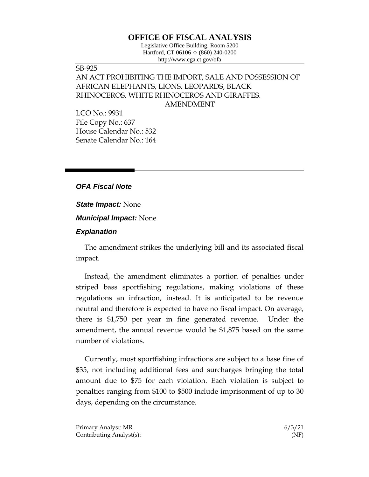# **OFFICE OF FISCAL ANALYSIS**

Legislative Office Building, Room 5200 Hartford, CT 06106 ◇ (860) 240-0200 http://www.cga.ct.gov/ofa

## SB-925 AN ACT PROHIBITING THE IMPORT, SALE AND POSSESSION OF AFRICAN ELEPHANTS, LIONS, LEOPARDS, BLACK RHINOCEROS, WHITE RHINOCEROS AND GIRAFFES. AMENDMENT

LCO No.: 9931 File Copy No.: 637 House Calendar No.: 532 Senate Calendar No.: 164

### *OFA Fiscal Note*

#### *State Impact:* None

*Municipal Impact:* None

#### *Explanation*

The amendment strikes the underlying bill and its associated fiscal impact.

Instead, the amendment eliminates a portion of penalties under striped bass sportfishing regulations, making violations of these regulations an infraction, instead. It is anticipated to be revenue neutral and therefore is expected to have no fiscal impact. On average, there is \$1,750 per year in fine generated revenue. Under the amendment, the annual revenue would be \$1,875 based on the same number of violations.

Currently, most sportfishing infractions are subject to a base fine of \$35, not including additional fees and surcharges bringing the total amount due to \$75 for each violation. Each violation is subject to penalties ranging from \$100 to \$500 include imprisonment of up to 30 days, depending on the circumstance.